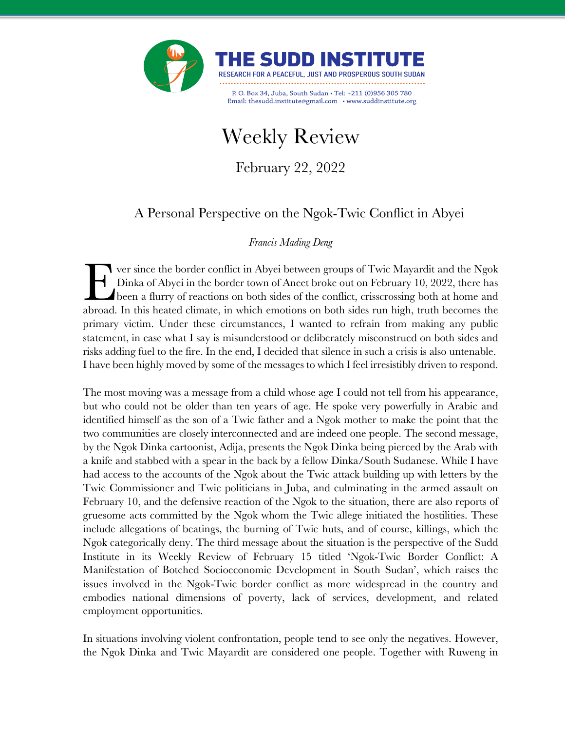



P. O. Box 34, Juba, South Sudan . Tel: +211 (0)956 305 780 Email: thesudd.institute@gmail.com • www.suddinstitute.org

# Weekly Review

February 22, 2022

## A Personal Perspective on the Ngok-Twic Conflict in Abyei

## *Francis Mading Deng*

ver since the border conflict in Abyei between groups of Twic Mayardit and the Ngok Dinka of Abyei in the border town of Aneet broke out on February 10, 2022, there has been a flurry of reactions on both sides of the conflict, crisscrossing both at home and This versince the border conflict in Abyei between groups of Twic Mayardit and the Ngok Dinka of Abyei in the border town of Aneet broke out on February 10, 2022, there has been a flurry of reactions on both sides of the c primary victim. Under these circumstances, I wanted to refrain from making any public statement, in case what I say is misunderstood or deliberately misconstrued on both sides and risks adding fuel to the fire. In the end, I decided that silence in such a crisis is also untenable. I have been highly moved by some of the messages to which I feel irresistibly driven to respond.

The most moving was a message from a child whose age I could not tell from his appearance, but who could not be older than ten years of age. He spoke very powerfully in Arabic and identified himself as the son of a Twic father and a Ngok mother to make the point that the two communities are closely interconnected and are indeed one people. The second message, by the Ngok Dinka cartoonist, Adija, presents the Ngok Dinka being pierced by the Arab with a knife and stabbed with a spear in the back by a fellow Dinka/South Sudanese. While I have had access to the accounts of the Ngok about the Twic attack building up with letters by the Twic Commissioner and Twic politicians in Juba, and culminating in the armed assault on February 10, and the defensive reaction of the Ngok to the situation, there are also reports of gruesome acts committed by the Ngok whom the Twic allege initiated the hostilities. These include allegations of beatings, the burning of Twic huts, and of course, killings, which the Ngok categorically deny. The third message about the situation is the perspective of the Sudd Institute in its Weekly Review of February 15 titled 'Ngok-Twic Border Conflict: A Manifestation of Botched Socioeconomic Development in South Sudan', which raises the issues involved in the Ngok-Twic border conflict as more widespread in the country and embodies national dimensions of poverty, lack of services, development, and related employment opportunities.

In situations involving violent confrontation, people tend to see only the negatives. However, the Ngok Dinka and Twic Mayardit are considered one people. Together with Ruweng in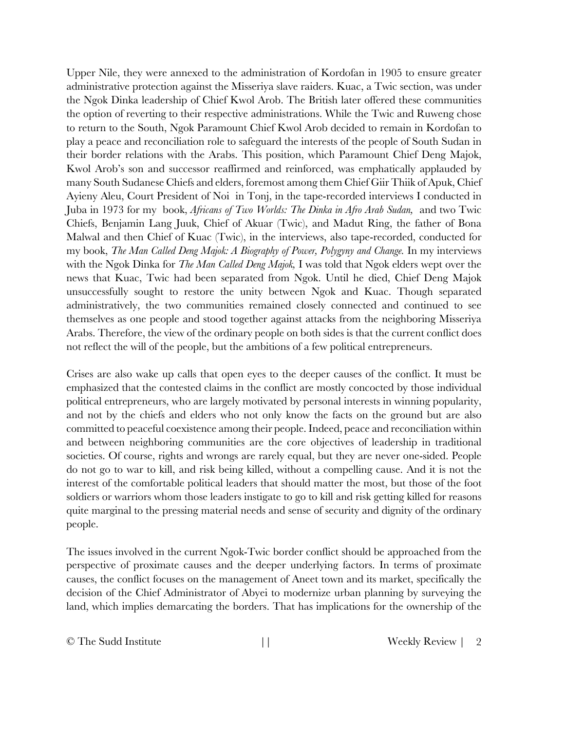Upper Nile, they were annexed to the administration of Kordofan in 1905 to ensure greater administrative protection against the Misseriya slave raiders. Kuac, a Twic section, was under the Ngok Dinka leadership of Chief Kwol Arob. The British later offered these communities the option of reverting to their respective administrations. While the Twic and Ruweng chose to return to the South, Ngok Paramount Chief Kwol Arob decided to remain in Kordofan to play a peace and reconciliation role to safeguard the interests of the people of South Sudan in their border relations with the Arabs. This position, which Paramount Chief Deng Majok, Kwol Arob's son and successor reaffirmed and reinforced, was emphatically applauded by many South Sudanese Chiefs and elders, foremost among them Chief Giir Thiik of Apuk, Chief Ayieny Aleu, Court President of Noi in Tonj, in the tape-recorded interviews I conducted in Juba in 1973 for my book, *Africans of Two Worlds: The Dinka in Afro Arab Sudan,* and two Twic Chiefs, Benjamin Lang Juuk, Chief of Akuar (Twic), and Madut Ring, the father of Bona Malwal and then Chief of Kuac (Twic), in the interviews, also tape-recorded, conducted for my book, *The Man Called Deng Majok: A Biography of Power, Polygyny and Change.* In my interviews with the Ngok Dinka for *The Man Called Deng Majok,* I was told that Ngok elders wept over the news that Kuac, Twic had been separated from Ngok. Until he died, Chief Deng Majok unsuccessfully sought to restore the unity between Ngok and Kuac. Though separated administratively, the two communities remained closely connected and continued to see themselves as one people and stood together against attacks from the neighboring Misseriya Arabs. Therefore, the view of the ordinary people on both sides is that the current conflict does not reflect the will of the people, but the ambitions of a few political entrepreneurs.

Crises are also wake up calls that open eyes to the deeper causes of the conflict. It must be emphasized that the contested claims in the conflict are mostly concocted by those individual political entrepreneurs, who are largely motivated by personal interests in winning popularity, and not by the chiefs and elders who not only know the facts on the ground but are also committed to peaceful coexistence among their people. Indeed, peace and reconciliation within and between neighboring communities are the core objectives of leadership in traditional societies. Of course, rights and wrongs are rarely equal, but they are never one-sided. People do not go to war to kill, and risk being killed, without a compelling cause. And it is not the interest of the comfortable political leaders that should matter the most, but those of the foot soldiers or warriors whom those leaders instigate to go to kill and risk getting killed for reasons quite marginal to the pressing material needs and sense of security and dignity of the ordinary people.

The issues involved in the current Ngok-Twic border conflict should be approached from the perspective of proximate causes and the deeper underlying factors. In terms of proximate causes, the conflict focuses on the management of Aneet town and its market, specifically the decision of the Chief Administrator of Abyei to modernize urban planning by surveying the land, which implies demarcating the borders. That has implications for the ownership of the

© The Sudd Institute  $||$  Weekly Review  $||$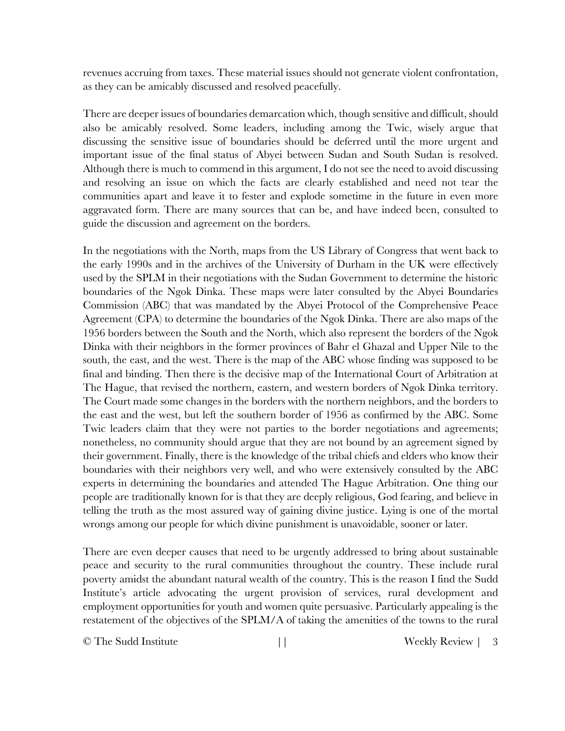revenues accruing from taxes. These material issues should not generate violent confrontation, as they can be amicably discussed and resolved peacefully.

There are deeper issues of boundaries demarcation which, though sensitive and difficult, should also be amicably resolved. Some leaders, including among the Twic, wisely argue that discussing the sensitive issue of boundaries should be deferred until the more urgent and important issue of the final status of Abyei between Sudan and South Sudan is resolved. Although there is much to commend in this argument, I do not see the need to avoid discussing and resolving an issue on which the facts are clearly established and need not tear the communities apart and leave it to fester and explode sometime in the future in even more aggravated form. There are many sources that can be, and have indeed been, consulted to guide the discussion and agreement on the borders.

In the negotiations with the North, maps from the US Library of Congress that went back to the early 1990s and in the archives of the University of Durham in the UK were effectively used by the SPLM in their negotiations with the Sudan Government to determine the historic boundaries of the Ngok Dinka. These maps were later consulted by the Abyei Boundaries Commission (ABC) that was mandated by the Abyei Protocol of the Comprehensive Peace Agreement (CPA) to determine the boundaries of the Ngok Dinka. There are also maps of the 1956 borders between the South and the North, which also represent the borders of the Ngok Dinka with their neighbors in the former provinces of Bahr el Ghazal and Upper Nile to the south, the east, and the west. There is the map of the ABC whose finding was supposed to be final and binding. Then there is the decisive map of the International Court of Arbitration at The Hague, that revised the northern, eastern, and western borders of Ngok Dinka territory. The Court made some changes in the borders with the northern neighbors, and the borders to the east and the west, but left the southern border of 1956 as confirmed by the ABC. Some Twic leaders claim that they were not parties to the border negotiations and agreements; nonetheless, no community should argue that they are not bound by an agreement signed by their government. Finally, there is the knowledge of the tribal chiefs and elders who know their boundaries with their neighbors very well, and who were extensively consulted by the ABC experts in determining the boundaries and attended The Hague Arbitration. One thing our people are traditionally known for is that they are deeply religious, God fearing, and believe in telling the truth as the most assured way of gaining divine justice. Lying is one of the mortal wrongs among our people for which divine punishment is unavoidable, sooner or later.

There are even deeper causes that need to be urgently addressed to bring about sustainable peace and security to the rural communities throughout the country. These include rural poverty amidst the abundant natural wealth of the country. This is the reason I find the Sudd Institute's article advocating the urgent provision of services, rural development and employment opportunities for youth and women quite persuasive. Particularly appealing is the restatement of the objectives of the SPLM/A of taking the amenities of the towns to the rural

© The Sudd Institute  $||$  Weekly Review | 3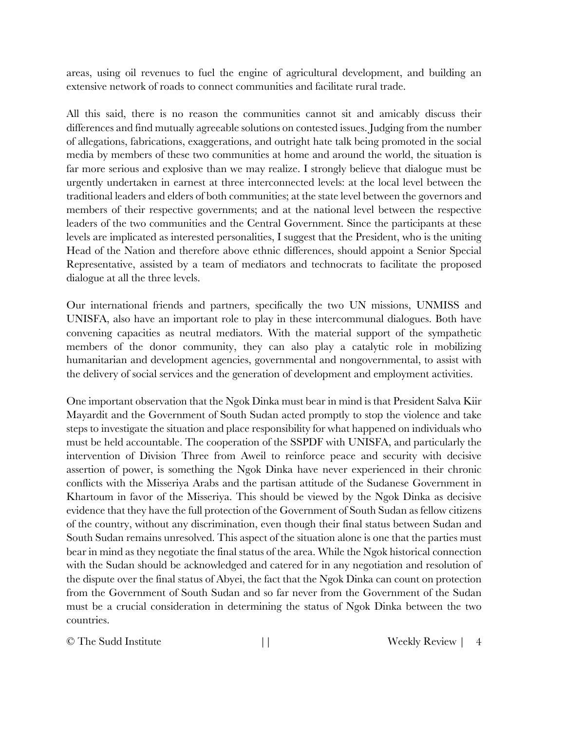areas, using oil revenues to fuel the engine of agricultural development, and building an extensive network of roads to connect communities and facilitate rural trade.

All this said, there is no reason the communities cannot sit and amicably discuss their differences and find mutually agreeable solutions on contested issues. Judging from the number of allegations, fabrications, exaggerations, and outright hate talk being promoted in the social media by members of these two communities at home and around the world, the situation is far more serious and explosive than we may realize. I strongly believe that dialogue must be urgently undertaken in earnest at three interconnected levels: at the local level between the traditional leaders and elders of both communities; at the state level between the governors and members of their respective governments; and at the national level between the respective leaders of the two communities and the Central Government. Since the participants at these levels are implicated as interested personalities, I suggest that the President, who is the uniting Head of the Nation and therefore above ethnic differences, should appoint a Senior Special Representative, assisted by a team of mediators and technocrats to facilitate the proposed dialogue at all the three levels.

Our international friends and partners, specifically the two UN missions, UNMISS and UNISFA, also have an important role to play in these intercommunal dialogues. Both have convening capacities as neutral mediators. With the material support of the sympathetic members of the donor community, they can also play a catalytic role in mobilizing humanitarian and development agencies, governmental and nongovernmental, to assist with the delivery of social services and the generation of development and employment activities.

One important observation that the Ngok Dinka must bear in mind is that President Salva Kiir Mayardit and the Government of South Sudan acted promptly to stop the violence and take steps to investigate the situation and place responsibility for what happened on individuals who must be held accountable. The cooperation of the SSPDF with UNISFA, and particularly the intervention of Division Three from Aweil to reinforce peace and security with decisive assertion of power, is something the Ngok Dinka have never experienced in their chronic conflicts with the Misseriya Arabs and the partisan attitude of the Sudanese Government in Khartoum in favor of the Misseriya. This should be viewed by the Ngok Dinka as decisive evidence that they have the full protection of the Government of South Sudan as fellow citizens of the country, without any discrimination, even though their final status between Sudan and South Sudan remains unresolved. This aspect of the situation alone is one that the parties must bear in mind as they negotiate the final status of the area. While the Ngok historical connection with the Sudan should be acknowledged and catered for in any negotiation and resolution of the dispute over the final status of Abyei, the fact that the Ngok Dinka can count on protection from the Government of South Sudan and so far never from the Government of the Sudan must be a crucial consideration in determining the status of Ngok Dinka between the two countries.

© The Sudd Institute  $||$  Weekly Review | 4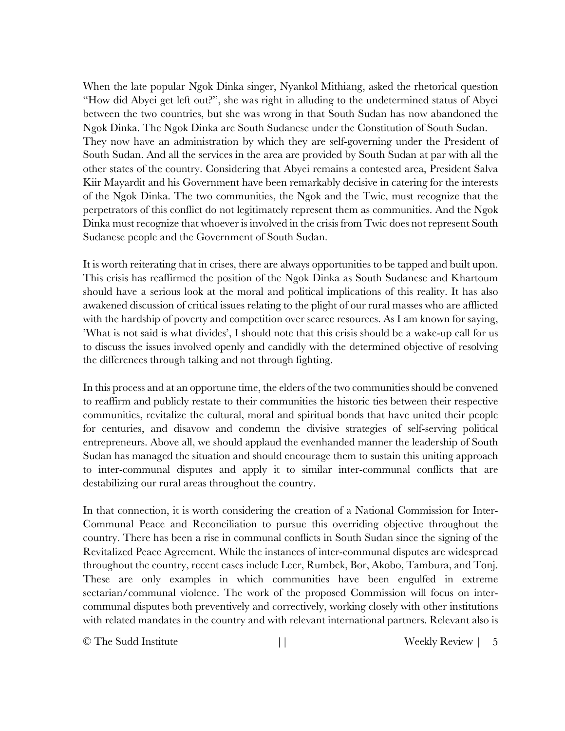When the late popular Ngok Dinka singer, Nyankol Mithiang, asked the rhetorical question "How did Abyei get left out?", she was right in alluding to the undetermined status of Abyei between the two countries, but she was wrong in that South Sudan has now abandoned the Ngok Dinka. The Ngok Dinka are South Sudanese under the Constitution of South Sudan. They now have an administration by which they are self-governing under the President of South Sudan. And all the services in the area are provided by South Sudan at par with all the other states of the country. Considering that Abyei remains a contested area, President Salva Kiir Mayardit and his Government have been remarkably decisive in catering for the interests of the Ngok Dinka. The two communities, the Ngok and the Twic, must recognize that the perpetrators of this conflict do not legitimately represent them as communities. And the Ngok Dinka must recognize that whoever is involved in the crisis from Twic does not represent South Sudanese people and the Government of South Sudan.

It is worth reiterating that in crises, there are always opportunities to be tapped and built upon. This crisis has reaffirmed the position of the Ngok Dinka as South Sudanese and Khartoum should have a serious look at the moral and political implications of this reality. It has also awakened discussion of critical issues relating to the plight of our rural masses who are afflicted with the hardship of poverty and competition over scarce resources. As I am known for saying, 'What is not said is what divides', I should note that this crisis should be a wake-up call for us to discuss the issues involved openly and candidly with the determined objective of resolving the differences through talking and not through fighting.

In this process and at an opportune time, the elders of the two communities should be convened to reaffirm and publicly restate to their communities the historic ties between their respective communities, revitalize the cultural, moral and spiritual bonds that have united their people for centuries, and disavow and condemn the divisive strategies of self-serving political entrepreneurs. Above all, we should applaud the evenhanded manner the leadership of South Sudan has managed the situation and should encourage them to sustain this uniting approach to inter-communal disputes and apply it to similar inter-communal conflicts that are destabilizing our rural areas throughout the country.

In that connection, it is worth considering the creation of a National Commission for Inter-Communal Peace and Reconciliation to pursue this overriding objective throughout the country. There has been a rise in communal conflicts in South Sudan since the signing of the Revitalized Peace Agreement. While the instances of inter-communal disputes are widespread throughout the country, recent cases include Leer, Rumbek, Bor, Akobo, Tambura, and Tonj. These are only examples in which communities have been engulfed in extreme sectarian/communal violence. The work of the proposed Commission will focus on intercommunal disputes both preventively and correctively, working closely with other institutions with related mandates in the country and with relevant international partners. Relevant also is

© The Sudd Institute  $||$  Weekly Review  $|$  5